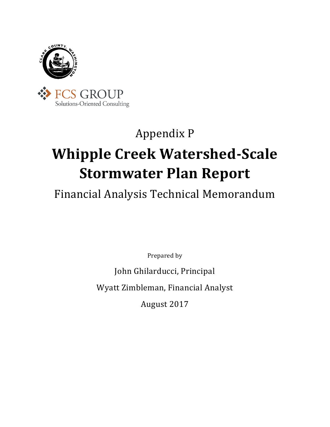

### Appendix P

## **Whipple Creek Watershed-Scale Stormwater Plan Report**

### Financial Analysis Technical Memorandum

Prepared by

John Ghilarducci, Principal Wyatt Zimbleman, Financial Analyst

August 2017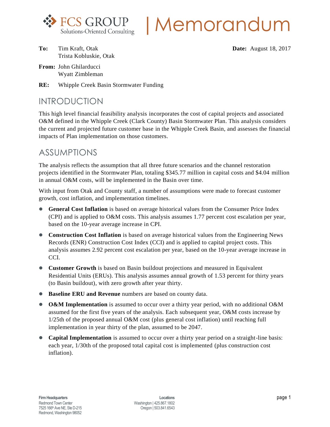

# |Memorandum

- **To:** Tim Kraft, Otak **Date: Date:** August 18, 2017 Trista Kobluskie, Otak
- **From:** John Ghilarducci Wyatt Zimbleman
- **RE:** Whipple Creek Basin Stormwater Funding

#### INTRODUCTION

This high level financial feasibility analysis incorporates the cost of capital projects and associated O&M defined in the Whipple Creek (Clark County) Basin Stormwater Plan. This analysis considers the current and projected future customer base in the Whipple Creek Basin, and assesses the financial impacts of Plan implementation on those customers.

#### ASSUMPTIONS

The analysis reflects the assumption that all three future scenarios and the channel restoration projects identified in the Stormwater Plan, totaling \$345.77 million in capital costs and \$4.04 million in annual O&M costs, will be implemented in the Basin over time.

With input from Otak and County staff, a number of assumptions were made to forecast customer growth, cost inflation, and implementation timelines.

- **General Cost Inflation** is based on average historical values from the Consumer Price Index (CPI) and is applied to O&M costs. This analysis assumes 1.77 percent cost escalation per year, based on the 10-year average increase in CPI.
- **Construction Cost Inflation** is based on average historical values from the Engineering News Records (ENR) Construction Cost Index (CCI) and is applied to capital project costs. This analysis assumes 2.92 percent cost escalation per year, based on the 10-year average increase in CCI.
- **Customer Growth** is based on Basin buildout projections and measured in Equivalent Residential Units (ERUs). This analysis assumes annual growth of 1.53 percent for thirty years (to Basin buildout), with zero growth after year thirty.
- **Baseline ERU and Revenue** numbers are based on county data.
- **O&M Implementation** is assumed to occur over a thirty year period, with no additional O&M assumed for the first five years of the analysis. Each subsequent year, O&M costs increase by 1/25th of the proposed annual O&M cost (plus general cost inflation) until reaching full implementation in year thirty of the plan, assumed to be 2047.
- **Capital Implementation** is assumed to occur over a thirty year period on a straight-line basis: each year, 1/30th of the proposed total capital cost is implemented (plus construction cost inflation).